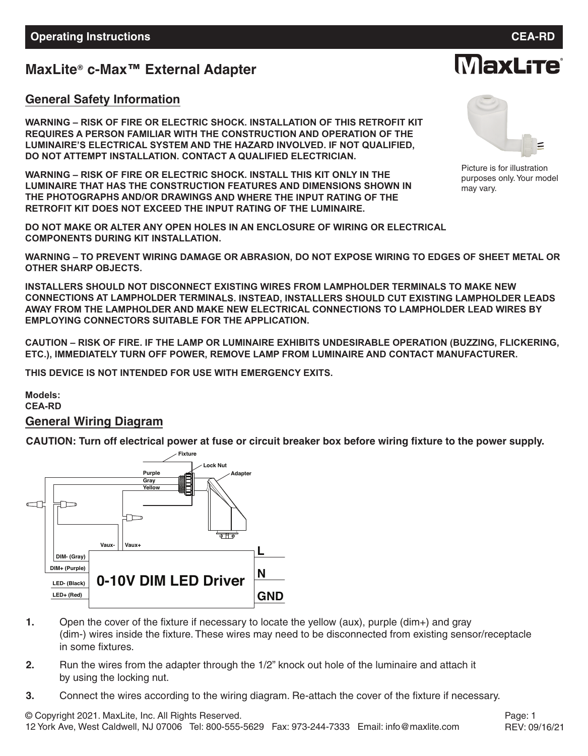## **MaxLite c-Max™ External Adapter ®**

### **General Safety Information**

**WARNING – RISK OF FIRE OR ELECTRIC SHOCK. INSTALLATION OF THIS RETROFIT KIT REQUIRES A PERSON FAMILIAR WITH THE CONSTRUCTION AND OPERATION OF THE LUMINAIRE'S ELECTRICAL SYSTEM AND THE HAZARD INVOLVED. IF NOT QUALIFIED, DO NOT ATTEMPT INSTALLATION. CONTACT A QUALIFIED ELECTRICIAN.**

**WARNING – RISK OF FIRE OR ELECTRIC SHOCK. INSTALL THIS KIT ONLY IN THE LUMINAIRE THAT HAS THE CONSTRUCTION FEATURES AND DIMENSIONS SHOWN IN THE PHOTOGRAPHS AND/OR DRAWINGS AND WHERE THE INPUT RATING OF THE RETROFIT KIT DOES NOT EXCEED THE INPUT RATING OF THE LUMINAIRE.**

**DO NOT MAKE OR ALTER ANY OPEN HOLES IN AN ENCLOSURE OF WIRING OR ELECTRICAL COMPONENTS DURING KIT INSTALLATION.**

**WARNING – TO PREVENT WIRING DAMAGE OR ABRASION, DO NOT EXPOSE WIRING TO EDGES OF SHEET METAL OR OTHER SHARP OBJECTS.**

**INSTALLERS SHOULD NOT DISCONNECT EXISTING WIRES FROM LAMPHOLDER TERMINALS TO MAKE NEW CONNECTIONS AT LAMPHOLDER TERMINALS. INSTEAD, INSTALLERS SHOULD CUT EXISTING LAMPHOLDER LEADS AWAY FROM THE LAMPHOLDER AND MAKE NEW ELECTRICAL CONNECTIONS TO LAMPHOLDER LEAD WIRES BY EMPLOYING CONNECTORS SUITABLE FOR THE APPLICATION.**

**CAUTION – RISK OF FIRE. IF THE LAMP OR LUMINAIRE EXHIBITS UNDESIRABLE OPERATION (BUZZING, FLICKERING, ETC.), IMMEDIATELY TURN OFF POWER, REMOVE LAMP FROM LUMINAIRE AND CONTACT MANUFACTURER.**

**THIS DEVICE IS NOT INTENDED FOR USE WITH EMERGENCY EXITS.**

**Models: CEA-RD**

#### **General Wiring Diagram**

CAUTION: Turn off electrical power at fuse or circuit breaker box before wiring fixture to the power supply.



- **1.** Open the cover of the fixture if necessary to locate the yellow (aux), purple (dim+) and gray (dim-) wires inside the fixture. These wires may need to be disconnected from existing sensor/receptacle in some fixtures.
- **2.** Run the wires from the adapter through the 1/2" knock out hole of the luminaire and attach it by using the locking nut.
- **3.** Connect the wires according to the wiring diagram. Re-attach the cover of the fixture if necessary.



Picture is for illustration purposes only.Your model may vary.

# **MaxLite**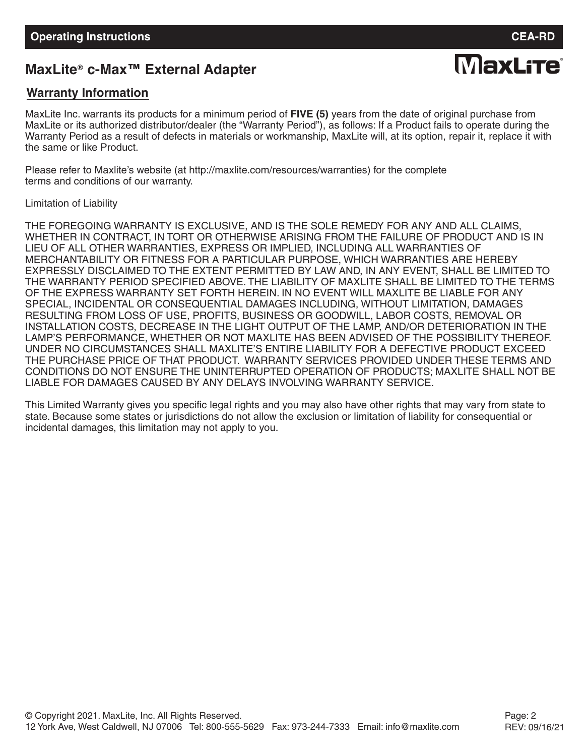**MaxLite** 

# **MaxLite® c-Max™ External Adapter**

## **Warranty Information**

MaxLite Inc. warrants its products for a minimum period of **FIVE (5)** years from the date of original purchase from MaxLite or its authorized distributor/dealer (the "Warranty Period"), as follows: If a Product fails to operate during the Warranty Period as a result of defects in materials or workmanship, MaxLite will, at its option, repair it, replace it with the same or like Product.

Please refer to Maxlite's website (at http://maxlite.com/resources/warranties) for the complete terms and conditions of our warranty.

Limitation of Liability

THE FOREGOING WARRANTY IS EXCLUSIVE, AND IS THE SOLE REMEDY FOR ANY AND ALL CLAIMS, WHETHER IN CONTRACT, IN TORT OR OTHERWISE ARISING FROM THE FAILURE OF PRODUCT AND IS IN LIEU OF ALL OTHER WARRANTIES, EXPRESS OR IMPLIED, INCLUDING ALL WARRANTIES OF MERCHANTABILITY OR FITNESS FOR A PARTICULAR PURPOSE, WHICH WARRANTIES ARE HEREBY EXPRESSLY DISCLAIMED TO THE EXTENT PERMITTED BY LAW AND, IN ANY EVENT, SHALL BE LIMITED TO THE WARRANTY PERIOD SPECIFIED ABOVE. THE LIABILITY OF MAXLITE SHALL BE LIMITED TO THE TERMS OF THE EXPRESS WARRANTY SET FORTH HEREIN. IN NO EVENT WILL MAXLITE BE LIABLE FOR ANY SPECIAL, INCIDENTAL OR CONSEQUENTIAL DAMAGES INCLUDING, WITHOUT LIMITATION, DAMAGES RESULTING FROM LOSS OF USE, PROFITS, BUSINESS OR GOODWILL, LABOR COSTS, REMOVAL OR INSTALLATION COSTS, DECREASE IN THE LIGHT OUTPUT OF THE LAMP, AND/OR DETERIORATION IN THE LAMP'S PERFORMANCE, WHETHER OR NOT MAXLITE HAS BEEN ADVISED OF THE POSSIBILITY THEREOF. UNDER NO CIRCUMSTANCES SHALL MAXLITE'S ENTIRE LIABILITY FOR A DEFECTIVE PRODUCT EXCEED THE PURCHASE PRICE OF THAT PRODUCT. WARRANTY SERVICES PROVIDED UNDER THESE TERMS AND CONDITIONS DO NOT ENSURE THE UNINTERRUPTED OPERATION OF PRODUCTS; MAXLITE SHALL NOT BE LIABLE FOR DAMAGES CAUSED BY ANY DELAYS INVOLVING WARRANTY SERVICE.

This Limited Warranty gives you specific legal rights and you may also have other rights that may vary from state to state. Because some states or jurisdictions do not allow the exclusion or limitation of liability for consequential or incidental damages, this limitation may not apply to you.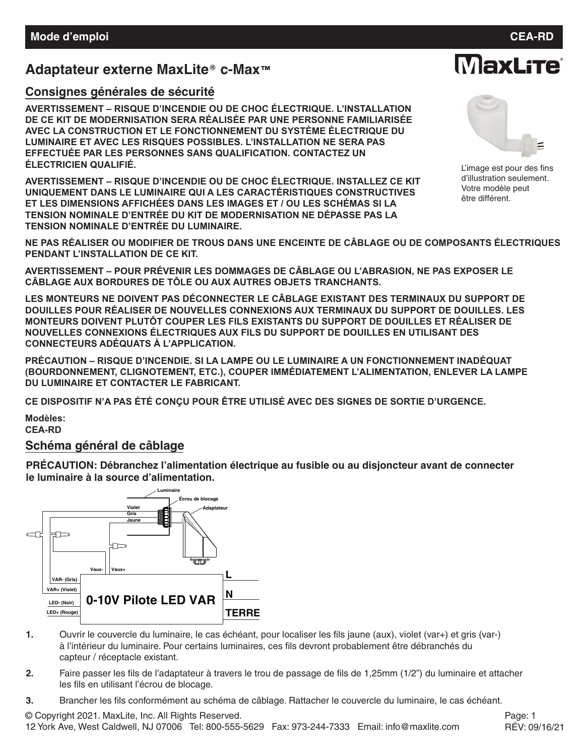## **Adaptateur externe MaxLite c-Max™ ®**

#### **Consignes générales de sécurité**

**AVERTISSEMENT – RISQUE D'INCENDIE OU DE CHOC ÉLECTRIQUE. L'INSTALLATION DE CE KIT DE MODERNISATION SERA RÉALISÉE PAR UNE PERSONNE FAMILIARISÉE AVEC LA CONSTRUCTION ET LE FONCTIONNEMENT DU SYSTÈME ÉLECTRIQUE DU LUMINAIRE ET AVEC LES RISQUES POSSIBLES. L'INSTALLATION NE SERA PAS EFFECTUÉE PAR LES PERSONNES SANS QUALIFICATION. CONTACTEZ UN ÉLECTRICIEN QUALIFIÉ.**

**AVERTISSEMENT – RISQUE D'INCENDIE OU DE CHOC ÉLECTRIQUE. INSTALLEZ CE KIT UNIQUEMENT DANS LE LUMINAIRE QUI A LES CARACTÉRISTIQUES CONSTRUCTIVES ET LES DIMENSIONS AFFICHÉES DANS LES IMAGES ET / OU LES SCHÉMAS SI LA TENSION NOMINALE D'ENTRÉE DU KIT DE MODERNISATION NE DÉPASSE PAS LA TENSION NOMINALE D'ENTRÉE DU LUMINAIRE.**



**MaxLite** 

L'image est pour des fins d'illustration seulement. Votre modèle peut être différent.

**NE PAS RÉALISER OU MODIFIER DE TROUS DANS UNE ENCEINTE DE CÂBLAGE OU DE COMPOSANTS ÉLECTRIQUES PENDANT L'INSTALLATION DE CE KIT.**

**AVERTISSEMENT – POUR PRÉVENIR LES DOMMAGES DE CÂBLAGE OU L'ABRASION, NE PAS EXPOSER LE CÂBLAGE AUX BORDURES DE TÔLE OU AUX AUTRES OBJETS TRANCHANTS.**

**LES MONTEURS NE DOIVENT PAS DÉCONNECTER LE CÂBLAGE EXISTANT DES TERMINAUX DU SUPPORT DE DOUILLES POUR RÉALISER DE NOUVELLES CONNEXIONS AUX TERMINAUX DU SUPPORT DE DOUILLES. LES MONTEURS DOIVENT PLUTÔT COUPER LES FILS EXISTANTS DU SUPPORT DE DOUILLES ET RÉALISER DE NOUVELLES CONNEXIONS ÉLECTRIQUES AUX FILS DU SUPPORT DE DOUILLES EN UTILISANT DES CONNECTEURS ADÉQUATS À L'APPLICATION.**

**PRÉCAUTION – RISQUE D'INCENDIE. SI LA LAMPE OU LE LUMINAIRE A UN FONCTIONNEMENT INADÉQUAT (BOURDONNEMENT, CLIGNOTEMENT, ETC.), COUPER IMMÉDIATEMENT L'ALIMENTATION, ENLEVER LA LAMPE DU LUMINAIRE ET CONTACTER LE FABRICANT.**

**CE DISPOSITIF N'A PAS ÉTÉ CONÇU POUR ÊTRE UTILISÉ AVEC DES SIGNES DE SORTIE D'URGENCE.**

**Modèles:**

**CEA-RD**

#### **Schéma général de câblage**

**PRÉCAUTION: Débranchez l'alimentation électrique au fusible ou au disjoncteur avant de connecter le luminaire à la source d'alimentation.**



- **1.** Ouvrir le couvercle du luminaire, le cas échéant, pour localiser les fils jaune (aux), violet (var+) et gris (var-) à l'intérieur du luminaire. Pour certains luminaires, ces fils devront probablement être débranchés du capteur / réceptacle existant.
- **2.** Faire passer les fils de l'adaptateur à travers le trou de passage de fils de 1,25mm (1/2") du luminaire et attacher les fils en utilisant l'écrou de blocage.
- **3.** Brancher les fils conformément au schéma de câblage. Rattacher le couvercle du luminaire, le cas échéant.

© Copyright 2021. MaxLite, Inc. All Rights Reserved. 12 York Ave, West Caldwell, NJ 07006 Tel: 800-555-5629 Fax: 973-244-7333 Email: info@maxlite.com

Page: 1 RÉV: 09/16/21